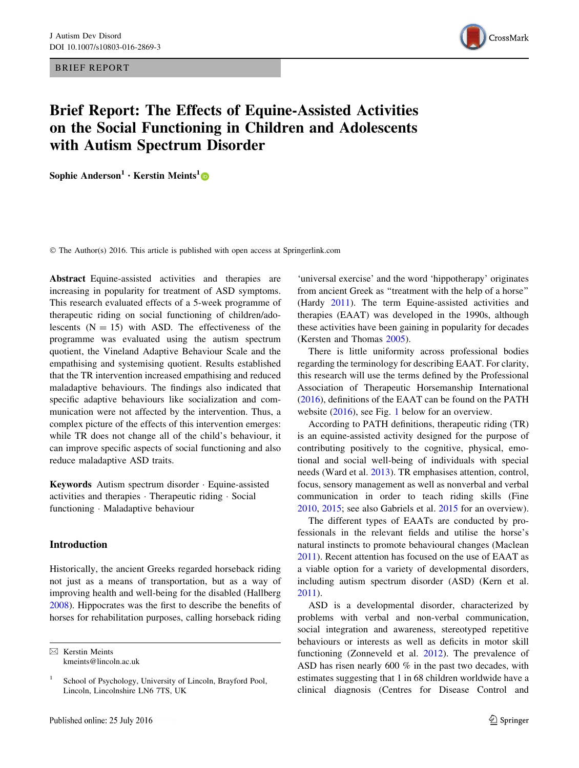BRIEF REPORT



## Brief Report: The Effects of Equine-Assisted Activities on the Social Functioning in Children and Adolescents with Autism Spectrum Disorder

Sophie Anderson<sup>1</sup> • Kerstin Meints<sup>1</sup>

© The Author(s) 2016. This article is published with open access at Springerlink.com

Abstract Equine-assisted activities and therapies are increasing in popularity for treatment of ASD symptoms. This research evaluated effects of a 5-week programme of therapeutic riding on social functioning of children/adolescents  $(N = 15)$  with ASD. The effectiveness of the programme was evaluated using the autism spectrum quotient, the Vineland Adaptive Behaviour Scale and the empathising and systemising quotient. Results established that the TR intervention increased empathising and reduced maladaptive behaviours. The findings also indicated that specific adaptive behaviours like socialization and communication were not affected by the intervention. Thus, a complex picture of the effects of this intervention emerges: while TR does not change all of the child's behaviour, it can improve specific aspects of social functioning and also reduce maladaptive ASD traits.

Keywords Autism spectrum disorder - Equine-assisted activities and therapies - Therapeutic riding - Social functioning - Maladaptive behaviour

## Introduction

Historically, the ancient Greeks regarded horseback riding not just as a means of transportation, but as a way of improving health and well-being for the disabled (Hallberg [2008\)](#page-7-0). Hippocrates was the first to describe the benefits of horses for rehabilitation purposes, calling horseback riding

 $\boxtimes$  Kerstin Meints kmeints@lincoln.ac.uk

'universal exercise' and the word 'hippotherapy' originates from ancient Greek as ''treatment with the help of a horse'' (Hardy [2011](#page-7-0)). The term Equine-assisted activities and therapies (EAAT) was developed in the 1990s, although these activities have been gaining in popularity for decades (Kersten and Thomas [2005](#page-7-0)).

There is little uniformity across professional bodies regarding the terminology for describing EAAT. For clarity, this research will use the terms defined by the Professional Association of Therapeutic Horsemanship International [\(2016](#page-8-0)), definitions of the EAAT can be found on the PATH website ([2016\)](#page-8-0), see Fig. [1](#page-1-0) below for an overview.

According to PATH definitions, therapeutic riding (TR) is an equine-assisted activity designed for the purpose of contributing positively to the cognitive, physical, emotional and social well-being of individuals with special needs (Ward et al. [2013\)](#page-8-0). TR emphasises attention, control, focus, sensory management as well as nonverbal and verbal communication in order to teach riding skills (Fine [2010](#page-7-0), [2015](#page-7-0); see also Gabriels et al. [2015](#page-7-0) for an overview).

The different types of EAATs are conducted by professionals in the relevant fields and utilise the horse's natural instincts to promote behavioural changes (Maclean [2011](#page-7-0)). Recent attention has focused on the use of EAAT as a viable option for a variety of developmental disorders, including autism spectrum disorder (ASD) (Kern et al. [2011](#page-7-0)).

ASD is a developmental disorder, characterized by problems with verbal and non-verbal communication, social integration and awareness, stereotyped repetitive behaviours or interests as well as deficits in motor skill functioning (Zonneveld et al. [2012\)](#page-8-0). The prevalence of ASD has risen nearly 600 % in the past two decades, with estimates suggesting that 1 in 68 children worldwide have a clinical diagnosis (Centres for Disease Control and

<sup>&</sup>lt;sup>1</sup> School of Psychology, University of Lincoln, Brayford Pool, Lincoln, Lincolnshire LN6 7TS, UK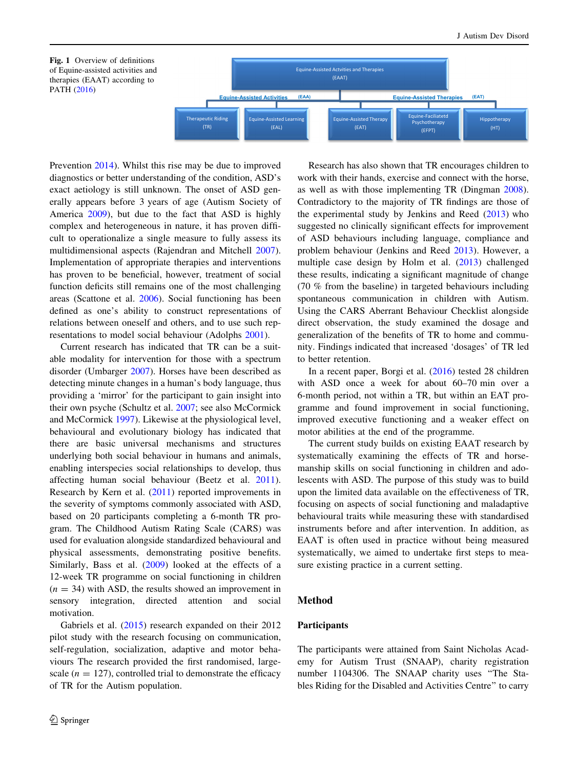<span id="page-1-0"></span>



Prevention [2014](#page-7-0)). Whilst this rise may be due to improved diagnostics or better understanding of the condition, ASD's exact aetiology is still unknown. The onset of ASD generally appears before 3 years of age (Autism Society of America [2009](#page-7-0)), but due to the fact that ASD is highly complex and heterogeneous in nature, it has proven difficult to operationalize a single measure to fully assess its multidimensional aspects (Rajendran and Mitchell [2007](#page-8-0)). Implementation of appropriate therapies and interventions has proven to be beneficial, however, treatment of social function deficits still remains one of the most challenging areas (Scattone et al. [2006](#page-8-0)). Social functioning has been defined as one's ability to construct representations of relations between oneself and others, and to use such representations to model social behaviour (Adolphs [2001](#page-7-0)).

Current research has indicated that TR can be a suitable modality for intervention for those with a spectrum disorder (Umbarger [2007](#page-8-0)). Horses have been described as detecting minute changes in a human's body language, thus providing a 'mirror' for the participant to gain insight into their own psyche (Schultz et al. [2007;](#page-8-0) see also McCormick and McCormick [1997\)](#page-7-0). Likewise at the physiological level, behavioural and evolutionary biology has indicated that there are basic universal mechanisms and structures underlying both social behaviour in humans and animals, enabling interspecies social relationships to develop, thus affecting human social behaviour (Beetz et al. [2011](#page-7-0)). Research by Kern et al. [\(2011](#page-7-0)) reported improvements in the severity of symptoms commonly associated with ASD, based on 20 participants completing a 6-month TR program. The Childhood Autism Rating Scale (CARS) was used for evaluation alongside standardized behavioural and physical assessments, demonstrating positive benefits. Similarly, Bass et al. ([2009\)](#page-7-0) looked at the effects of a 12-week TR programme on social functioning in children  $(n = 34)$  with ASD, the results showed an improvement in sensory integration, directed attention and social motivation.

Gabriels et al. ([2015\)](#page-7-0) research expanded on their 2012 pilot study with the research focusing on communication, self-regulation, socialization, adaptive and motor behaviours The research provided the first randomised, largescale ( $n = 127$ ), controlled trial to demonstrate the efficacy of TR for the Autism population.

Research has also shown that TR encourages children to work with their hands, exercise and connect with the horse, as well as with those implementing TR (Dingman [2008](#page-7-0)). Contradictory to the majority of TR findings are those of the experimental study by Jenkins and Reed  $(2013)$  $(2013)$  $(2013)$  who suggested no clinically significant effects for improvement of ASD behaviours including language, compliance and problem behaviour (Jenkins and Reed [2013](#page-7-0)). However, a multiple case design by Holm et al. [\(2013](#page-7-0)) challenged these results, indicating a significant magnitude of change (70 % from the baseline) in targeted behaviours including spontaneous communication in children with Autism. Using the CARS Aberrant Behaviour Checklist alongside direct observation, the study examined the dosage and generalization of the benefits of TR to home and community. Findings indicated that increased 'dosages' of TR led to better retention.

In a recent paper, Borgi et al. [\(2016](#page-7-0)) tested 28 children with ASD once a week for about 60–70 min over a 6-month period, not within a TR, but within an EAT programme and found improvement in social functioning, improved executive functioning and a weaker effect on motor abilities at the end of the programme.

The current study builds on existing EAAT research by systematically examining the effects of TR and horsemanship skills on social functioning in children and adolescents with ASD. The purpose of this study was to build upon the limited data available on the effectiveness of TR, focusing on aspects of social functioning and maladaptive behavioural traits while measuring these with standardised instruments before and after intervention. In addition, as EAAT is often used in practice without being measured systematically, we aimed to undertake first steps to measure existing practice in a current setting.

#### Method

#### Participants

The participants were attained from Saint Nicholas Academy for Autism Trust (SNAAP), charity registration number 1104306. The SNAAP charity uses ''The Stables Riding for the Disabled and Activities Centre'' to carry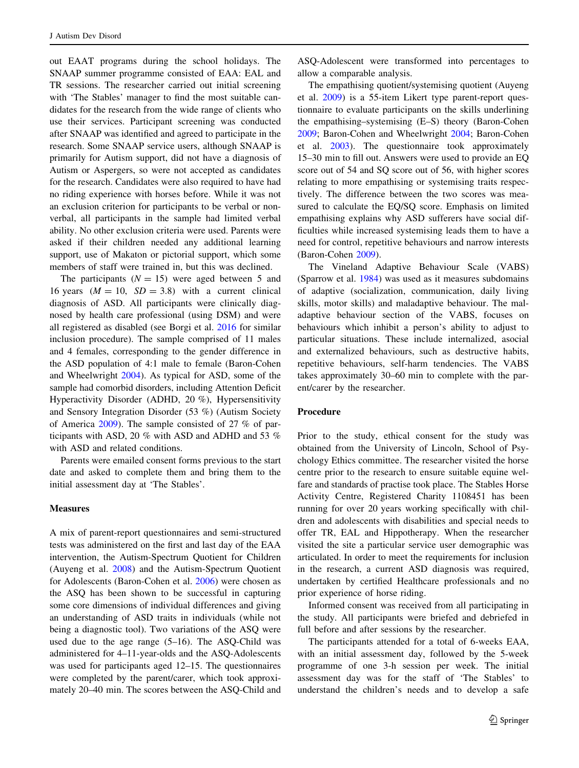out EAAT programs during the school holidays. The SNAAP summer programme consisted of EAA: EAL and TR sessions. The researcher carried out initial screening with 'The Stables' manager to find the most suitable candidates for the research from the wide range of clients who use their services. Participant screening was conducted after SNAAP was identified and agreed to participate in the research. Some SNAAP service users, although SNAAP is primarily for Autism support, did not have a diagnosis of Autism or Aspergers, so were not accepted as candidates for the research. Candidates were also required to have had no riding experience with horses before. While it was not an exclusion criterion for participants to be verbal or nonverbal, all participants in the sample had limited verbal ability. No other exclusion criteria were used. Parents were asked if their children needed any additional learning support, use of Makaton or pictorial support, which some members of staff were trained in, but this was declined.

The participants  $(N = 15)$  were aged between 5 and 16 years  $(M = 10, SD = 3.8)$  with a current clinical diagnosis of ASD. All participants were clinically diagnosed by health care professional (using DSM) and were all registered as disabled (see Borgi et al. [2016](#page-7-0) for similar inclusion procedure). The sample comprised of 11 males and 4 females, corresponding to the gender difference in the ASD population of 4:1 male to female (Baron-Cohen and Wheelwright [2004\)](#page-7-0). As typical for ASD, some of the sample had comorbid disorders, including Attention Deficit Hyperactivity Disorder (ADHD, 20 %), Hypersensitivity and Sensory Integration Disorder (53 %) (Autism Society of America [2009](#page-7-0)). The sample consisted of 27 % of participants with ASD, 20 % with ASD and ADHD and 53 % with ASD and related conditions.

Parents were emailed consent forms previous to the start date and asked to complete them and bring them to the initial assessment day at 'The Stables'.

#### Measures

A mix of parent-report questionnaires and semi-structured tests was administered on the first and last day of the EAA intervention, the Autism-Spectrum Quotient for Children (Auyeng et al. [2008\)](#page-7-0) and the Autism-Spectrum Quotient for Adolescents (Baron-Cohen et al. [2006](#page-7-0)) were chosen as the ASQ has been shown to be successful in capturing some core dimensions of individual differences and giving an understanding of ASD traits in individuals (while not being a diagnostic tool). Two variations of the ASQ were used due to the age range (5–16). The ASQ-Child was administered for 4–11-year-olds and the ASQ-Adolescents was used for participants aged 12–15. The questionnaires were completed by the parent/carer, which took approximately 20–40 min. The scores between the ASQ-Child and ASQ-Adolescent were transformed into percentages to allow a comparable analysis.

The empathising quotient/systemising quotient (Auyeng et al. [2009](#page-7-0)) is a 55-item Likert type parent-report questionnaire to evaluate participants on the skills underlining the empathising–systemising (E–S) theory (Baron-Cohen [2009](#page-7-0); Baron-Cohen and Wheelwright [2004;](#page-7-0) Baron-Cohen et al. [2003\)](#page-7-0). The questionnaire took approximately 15–30 min to fill out. Answers were used to provide an EQ score out of 54 and SQ score out of 56, with higher scores relating to more empathising or systemising traits respectively. The difference between the two scores was measured to calculate the EQ/SQ score. Emphasis on limited empathising explains why ASD sufferers have social difficulties while increased systemising leads them to have a need for control, repetitive behaviours and narrow interests (Baron-Cohen [2009\)](#page-7-0).

The Vineland Adaptive Behaviour Scale (VABS) (Sparrow et al. [1984\)](#page-8-0) was used as it measures subdomains of adaptive (socialization, communication, daily living skills, motor skills) and maladaptive behaviour. The maladaptive behaviour section of the VABS, focuses on behaviours which inhibit a person's ability to adjust to particular situations. These include internalized, asocial and externalized behaviours, such as destructive habits, repetitive behaviours, self-harm tendencies. The VABS takes approximately 30–60 min to complete with the parent/carer by the researcher.

#### Procedure

Prior to the study, ethical consent for the study was obtained from the University of Lincoln, School of Psychology Ethics committee. The researcher visited the horse centre prior to the research to ensure suitable equine welfare and standards of practise took place. The Stables Horse Activity Centre, Registered Charity 1108451 has been running for over 20 years working specifically with children and adolescents with disabilities and special needs to offer TR, EAL and Hippotherapy. When the researcher visited the site a particular service user demographic was articulated. In order to meet the requirements for inclusion in the research, a current ASD diagnosis was required, undertaken by certified Healthcare professionals and no prior experience of horse riding.

Informed consent was received from all participating in the study. All participants were briefed and debriefed in full before and after sessions by the researcher.

The participants attended for a total of 6-weeks EAA, with an initial assessment day, followed by the 5-week programme of one 3-h session per week. The initial assessment day was for the staff of 'The Stables' to understand the children's needs and to develop a safe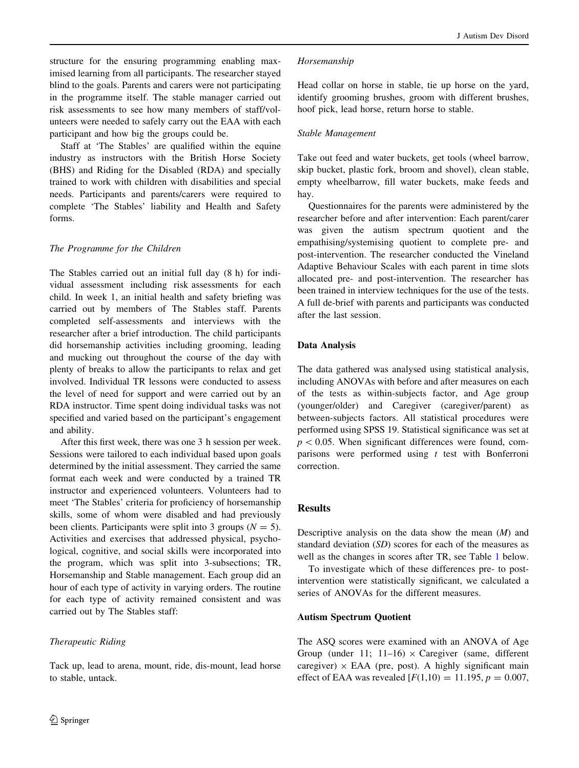structure for the ensuring programming enabling maximised learning from all participants. The researcher stayed blind to the goals. Parents and carers were not participating in the programme itself. The stable manager carried out risk assessments to see how many members of staff/volunteers were needed to safely carry out the EAA with each participant and how big the groups could be.

Staff at 'The Stables' are qualified within the equine industry as instructors with the British Horse Society (BHS) and Riding for the Disabled (RDA) and specially trained to work with children with disabilities and special needs. Participants and parents/carers were required to complete 'The Stables' liability and Health and Safety forms.

## The Programme for the Children

The Stables carried out an initial full day (8 h) for individual assessment including risk assessments for each child. In week 1, an initial health and safety briefing was carried out by members of The Stables staff. Parents completed self-assessments and interviews with the researcher after a brief introduction. The child participants did horsemanship activities including grooming, leading and mucking out throughout the course of the day with plenty of breaks to allow the participants to relax and get involved. Individual TR lessons were conducted to assess the level of need for support and were carried out by an RDA instructor. Time spent doing individual tasks was not specified and varied based on the participant's engagement and ability.

After this first week, there was one 3 h session per week. Sessions were tailored to each individual based upon goals determined by the initial assessment. They carried the same format each week and were conducted by a trained TR instructor and experienced volunteers. Volunteers had to meet 'The Stables' criteria for proficiency of horsemanship skills, some of whom were disabled and had previously been clients. Participants were split into 3 groups ( $N = 5$ ). Activities and exercises that addressed physical, psychological, cognitive, and social skills were incorporated into the program, which was split into 3-subsections; TR, Horsemanship and Stable management. Each group did an hour of each type of activity in varying orders. The routine for each type of activity remained consistent and was carried out by The Stables staff:

#### Therapeutic Riding

Tack up, lead to arena, mount, ride, dis-mount, lead horse to stable, untack.

#### Horsemanship

Head collar on horse in stable, tie up horse on the yard, identify grooming brushes, groom with different brushes, hoof pick, lead horse, return horse to stable.

#### Stable Management

Take out feed and water buckets, get tools (wheel barrow, skip bucket, plastic fork, broom and shovel), clean stable, empty wheelbarrow, fill water buckets, make feeds and hay.

Questionnaires for the parents were administered by the researcher before and after intervention: Each parent/carer was given the autism spectrum quotient and the empathising/systemising quotient to complete pre- and post-intervention. The researcher conducted the Vineland Adaptive Behaviour Scales with each parent in time slots allocated pre- and post-intervention. The researcher has been trained in interview techniques for the use of the tests. A full de-brief with parents and participants was conducted after the last session.

## Data Analysis

The data gathered was analysed using statistical analysis, including ANOVAs with before and after measures on each of the tests as within-subjects factor, and Age group (younger/older) and Caregiver (caregiver/parent) as between-subjects factors. All statistical procedures were performed using SPSS 19. Statistical significance was set at  $p<0.05$ . When significant differences were found, comparisons were performed using  $t$  test with Bonferroni correction.

## **Results**

Descriptive analysis on the data show the mean  $(M)$  and standard deviation (SD) scores for each of the measures as well as the changes in scores after TR, see Table [1](#page-4-0) below.

To investigate which of these differences pre- to postintervention were statistically significant, we calculated a series of ANOVAs for the different measures.

#### Autism Spectrum Quotient

The ASQ scores were examined with an ANOVA of Age Group (under 11;  $11-16$ )  $\times$  Caregiver (same, different caregiver)  $\times$  EAA (pre, post). A highly significant main effect of EAA was revealed  $[F(1,10) = 11.195, p = 0.007,$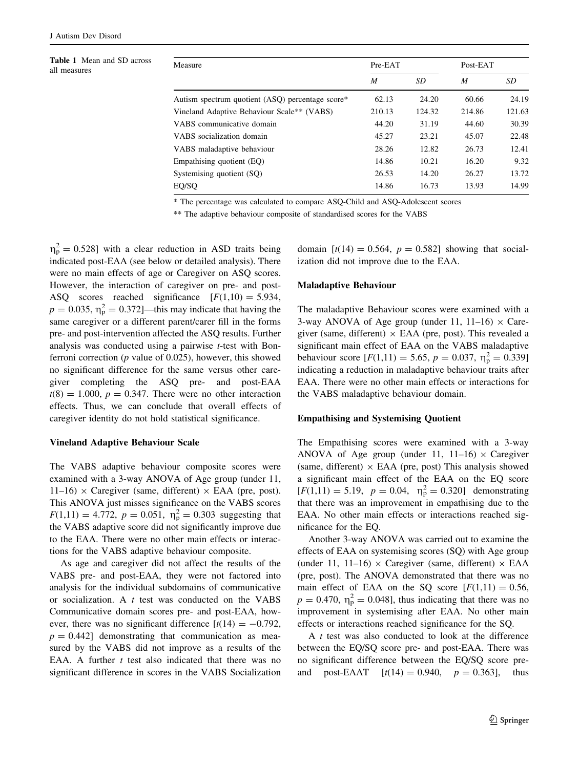# Table 1 Mean and SD across

<span id="page-4-0"></span>

| <b>Table 1</b> Mean and SD across<br>all measures | Measure                                          | Pre-EAT          |        | Post-EAT |        |
|---------------------------------------------------|--------------------------------------------------|------------------|--------|----------|--------|
|                                                   |                                                  | $\boldsymbol{M}$ | SD     | M        | SD     |
|                                                   | Autism spectrum quotient (ASQ) percentage score* | 62.13            | 24.20  | 60.66    | 24.19  |
|                                                   | Vineland Adaptive Behaviour Scale** (VABS)       | 210.13           | 124.32 | 214.86   | 121.63 |
|                                                   | VABS communicative domain                        | 44.20            | 31.19  | 44.60    | 30.39  |
|                                                   | VABS socialization domain                        | 45.27            | 23.21  | 45.07    | 22.48  |
|                                                   | VABS maladaptive behaviour                       | 28.26            | 12.82  | 26.73    | 12.41  |
|                                                   | Empathising quotient (EQ)                        | 14.86            | 10.21  | 16.20    | 9.32   |
|                                                   | Systemising quotient (SQ)                        | 26.53            | 14.20  | 26.27    | 13.72  |
|                                                   | EQ/SQ                                            | 14.86            | 16.73  | 13.93    | 14.99  |

\* The percentage was calculated to compare ASQ-Child and ASQ-Adolescent scores

\*\* The adaptive behaviour composite of standardised scores for the VABS

 $\eta_p^2 = 0.528$ ] with a clear reduction in ASD traits being indicated post-EAA (see below or detailed analysis). There were no main effects of age or Caregiver on ASQ scores. However, the interaction of caregiver on pre- and post-ASQ scores reached significance  $[F(1,10) = 5.934,$  $p = 0.035$ ,  $\eta_{\rm p}^2 = 0.372$ ]—this may indicate that having the same caregiver or a different parent/carer fill in the forms pre- and post-intervention affected the ASQ results. Further analysis was conducted using a pairwise t-test with Bonferroni correction (p value of 0.025), however, this showed no significant difference for the same versus other caregiver completing the ASQ pre- and post-EAA  $t(8) = 1.000$ ,  $p = 0.347$ . There were no other interaction effects. Thus, we can conclude that overall effects of caregiver identity do not hold statistical significance.

#### Vineland Adaptive Behaviour Scale

The VABS adaptive behaviour composite scores were examined with a 3-way ANOVA of Age group (under 11,  $11–16$ )  $\times$  Caregiver (same, different)  $\times$  EAA (pre, post). This ANOVA just misses significance on the VABS scores  $F(1,11) = 4.772$ ,  $p = 0.051$ ,  $\eta_p^2 = 0.303$  suggesting that the VABS adaptive score did not significantly improve due to the EAA. There were no other main effects or interactions for the VABS adaptive behaviour composite.

As age and caregiver did not affect the results of the VABS pre- and post-EAA, they were not factored into analysis for the individual subdomains of communicative or socialization. A t test was conducted on the VABS Communicative domain scores pre- and post-EAA, however, there was no significant difference  $[t(14) = -0.792]$ ,  $p = 0.442$ ] demonstrating that communication as measured by the VABS did not improve as a results of the EAA. A further  $t$  test also indicated that there was no significant difference in scores in the VABS Socialization

domain  $[t(14) = 0.564, p = 0.582]$  showing that socialization did not improve due to the EAA.

#### Maladaptive Behaviour

The maladaptive Behaviour scores were examined with a 3-way ANOVA of Age group (under 11,  $11-16$ )  $\times$  Caregiver (same, different)  $\times$  EAA (pre, post). This revealed a significant main effect of EAA on the VABS maladaptive behaviour score  $[F(1,11) = 5.65, p = 0.037, \eta_{\rm p}^2 = 0.339]$ indicating a reduction in maladaptive behaviour traits after EAA. There were no other main effects or interactions for the VABS maladaptive behaviour domain.

#### Empathising and Systemising Quotient

The Empathising scores were examined with a 3-way ANOVA of Age group (under 11,  $11-16$ )  $\times$  Caregiver (same, different)  $\times$  EAA (pre, post) This analysis showed a significant main effect of the EAA on the EQ score  $[F(1,11) = 5.19, p = 0.04, \eta_{\rm p}^2 = 0.320]$  demonstrating that there was an improvement in empathising due to the EAA. No other main effects or interactions reached significance for the EQ.

Another 3-way ANOVA was carried out to examine the effects of EAA on systemising scores (SQ) with Age group (under 11, 11–16)  $\times$  Caregiver (same, different)  $\times$  EAA (pre, post). The ANOVA demonstrated that there was no main effect of EAA on the SQ score  $[F(1,11) = 0.56]$  $p = 0.470$ ,  $\eta_{\rm p}^2 = 0.048$ , thus indicating that there was no improvement in systemising after EAA. No other main effects or interactions reached significance for the SQ.

A t test was also conducted to look at the difference between the EQ/SQ score pre- and post-EAA. There was no significant difference between the EQ/SQ score preand post-EAAT  $[t(14) = 0.940, p = 0.363]$ , thus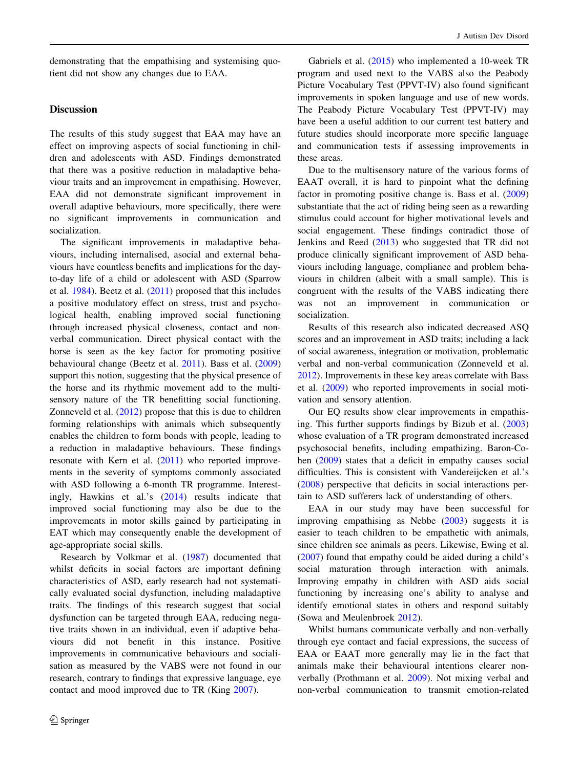demonstrating that the empathising and systemising quotient did not show any changes due to EAA.

#### **Discussion**

The results of this study suggest that EAA may have an effect on improving aspects of social functioning in children and adolescents with ASD. Findings demonstrated that there was a positive reduction in maladaptive behaviour traits and an improvement in empathising. However, EAA did not demonstrate significant improvement in overall adaptive behaviours, more specifically, there were no significant improvements in communication and socialization.

The significant improvements in maladaptive behaviours, including internalised, asocial and external behaviours have countless benefits and implications for the dayto-day life of a child or adolescent with ASD (Sparrow et al. [1984\)](#page-8-0). Beetz et al. ([2011\)](#page-7-0) proposed that this includes a positive modulatory effect on stress, trust and psychological health, enabling improved social functioning through increased physical closeness, contact and nonverbal communication. Direct physical contact with the horse is seen as the key factor for promoting positive behavioural change (Beetz et al. [2011](#page-7-0)). Bass et al. ([2009\)](#page-7-0) support this notion, suggesting that the physical presence of the horse and its rhythmic movement add to the multisensory nature of the TR benefitting social functioning. Zonneveld et al. ([2012\)](#page-8-0) propose that this is due to children forming relationships with animals which subsequently enables the children to form bonds with people, leading to a reduction in maladaptive behaviours. These findings resonate with Kern et al.  $(2011)$  $(2011)$  who reported improvements in the severity of symptoms commonly associated with ASD following a 6-month TR programme. Interestingly, Hawkins et al.'s ([2014\)](#page-7-0) results indicate that improved social functioning may also be due to the improvements in motor skills gained by participating in EAT which may consequently enable the development of age-appropriate social skills.

Research by Volkmar et al. [\(1987](#page-8-0)) documented that whilst deficits in social factors are important defining characteristics of ASD, early research had not systematically evaluated social dysfunction, including maladaptive traits. The findings of this research suggest that social dysfunction can be targeted through EAA, reducing negative traits shown in an individual, even if adaptive behaviours did not benefit in this instance. Positive improvements in communicative behaviours and socialisation as measured by the VABS were not found in our research, contrary to findings that expressive language, eye contact and mood improved due to TR (King [2007\)](#page-7-0).

Gabriels et al. [\(2015](#page-7-0)) who implemented a 10-week TR program and used next to the VABS also the Peabody Picture Vocabulary Test (PPVT-IV) also found significant improvements in spoken language and use of new words. The Peabody Picture Vocabulary Test (PPVT-IV) may have been a useful addition to our current test battery and future studies should incorporate more specific language and communication tests if assessing improvements in these areas.

Due to the multisensory nature of the various forms of EAAT overall, it is hard to pinpoint what the defining factor in promoting positive change is. Bass et al. ([2009\)](#page-7-0) substantiate that the act of riding being seen as a rewarding stimulus could account for higher motivational levels and social engagement. These findings contradict those of Jenkins and Reed ([2013\)](#page-7-0) who suggested that TR did not produce clinically significant improvement of ASD behaviours including language, compliance and problem behaviours in children (albeit with a small sample). This is congruent with the results of the VABS indicating there was not an improvement in communication or socialization.

Results of this research also indicated decreased ASQ scores and an improvement in ASD traits; including a lack of social awareness, integration or motivation, problematic verbal and non-verbal communication (Zonneveld et al. [2012](#page-8-0)). Improvements in these key areas correlate with Bass et al. ([2009\)](#page-7-0) who reported improvements in social motivation and sensory attention.

Our EQ results show clear improvements in empathising. This further supports findings by Bizub et al. ([2003\)](#page-7-0) whose evaluation of a TR program demonstrated increased psychosocial benefits, including empathizing. Baron-Cohen [\(2009](#page-7-0)) states that a deficit in empathy causes social difficulties. This is consistent with Vandereijcken et al.'s [\(2008](#page-8-0)) perspective that deficits in social interactions pertain to ASD sufferers lack of understanding of others.

EAA in our study may have been successful for improving empathising as Nebbe ([2003\)](#page-7-0) suggests it is easier to teach children to be empathetic with animals, since children see animals as peers. Likewise, Ewing et al. [\(2007](#page-7-0)) found that empathy could be aided during a child's social maturation through interaction with animals. Improving empathy in children with ASD aids social functioning by increasing one's ability to analyse and identify emotional states in others and respond suitably (Sowa and Meulenbroek [2012](#page-8-0)).

Whilst humans communicate verbally and non-verbally through eye contact and facial expressions, the success of EAA or EAAT more generally may lie in the fact that animals make their behavioural intentions clearer nonverbally (Prothmann et al. [2009](#page-8-0)). Not mixing verbal and non-verbal communication to transmit emotion-related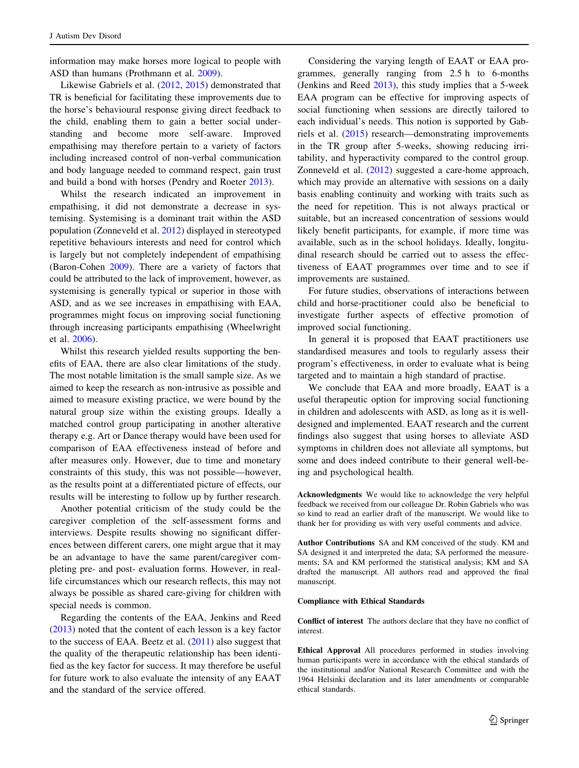information may make horses more logical to people with ASD than humans (Prothmann et al. [2009](#page-8-0)).

Likewise Gabriels et al. [\(2012](#page-7-0), [2015\)](#page-7-0) demonstrated that TR is beneficial for facilitating these improvements due to the horse's behavioural response giving direct feedback to the child, enabling them to gain a better social understanding and become more self-aware. Improved empathising may therefore pertain to a variety of factors including increased control of non-verbal communication and body language needed to command respect, gain trust and build a bond with horses (Pendry and Roeter [2013](#page-7-0)).

Whilst the research indicated an improvement in empathising, it did not demonstrate a decrease in systemising. Systemising is a dominant trait within the ASD population (Zonneveld et al. [2012](#page-8-0)) displayed in stereotyped repetitive behaviours interests and need for control which is largely but not completely independent of empathising (Baron-Cohen [2009\)](#page-7-0). There are a variety of factors that could be attributed to the lack of improvement, however, as systemising is generally typical or superior in those with ASD, and as we see increases in empathising with EAA, programmes might focus on improving social functioning through increasing participants empathising (Wheelwright et al. [2006\)](#page-8-0).

Whilst this research yielded results supporting the benefits of EAA, there are also clear limitations of the study. The most notable limitation is the small sample size. As we aimed to keep the research as non-intrusive as possible and aimed to measure existing practice, we were bound by the natural group size within the existing groups. Ideally a matched control group participating in another alterative therapy e.g. Art or Dance therapy would have been used for comparison of EAA effectiveness instead of before and after measures only. However, due to time and monetary constraints of this study, this was not possible—however, as the results point at a differentiated picture of effects, our results will be interesting to follow up by further research.

Another potential criticism of the study could be the caregiver completion of the self-assessment forms and interviews. Despite results showing no significant differences between different carers, one might argue that it may be an advantage to have the same parent/caregiver completing pre- and post- evaluation forms. However, in reallife circumstances which our research reflects, this may not always be possible as shared care-giving for children with special needs is common.

Regarding the contents of the EAA, Jenkins and Reed [\(2013](#page-7-0)) noted that the content of each lesson is a key factor to the success of EAA. Beetz et al. ([2011\)](#page-7-0) also suggest that the quality of the therapeutic relationship has been identified as the key factor for success. It may therefore be useful for future work to also evaluate the intensity of any EAAT and the standard of the service offered.

Considering the varying length of EAAT or EAA programmes, generally ranging from 2.5 h to 6-months (Jenkins and Reed [2013](#page-7-0)), this study implies that a 5-week EAA program can be effective for improving aspects of social functioning when sessions are directly tailored to each individual's needs. This notion is supported by Gabriels et al. [\(2015](#page-7-0)) research—demonstrating improvements in the TR group after 5-weeks, showing reducing irritability, and hyperactivity compared to the control group. Zonneveld et al. ([2012\)](#page-8-0) suggested a care-home approach, which may provide an alternative with sessions on a daily basis enabling continuity and working with traits such as the need for repetition. This is not always practical or suitable, but an increased concentration of sessions would likely benefit participants, for example, if more time was available, such as in the school holidays. Ideally, longitudinal research should be carried out to assess the effectiveness of EAAT programmes over time and to see if improvements are sustained.

For future studies, observations of interactions between child and horse-practitioner could also be beneficial to investigate further aspects of effective promotion of improved social functioning.

In general it is proposed that EAAT practitioners use standardised measures and tools to regularly assess their program's effectiveness, in order to evaluate what is being targeted and to maintain a high standard of practise.

We conclude that EAA and more broadly, EAAT is a useful therapeutic option for improving social functioning in children and adolescents with ASD, as long as it is welldesigned and implemented. EAAT research and the current findings also suggest that using horses to alleviate ASD symptoms in children does not alleviate all symptoms, but some and does indeed contribute to their general well-being and psychological health.

Acknowledgments We would like to acknowledge the very helpful feedback we received from our colleague Dr. Robin Gabriels who was so kind to read an earlier draft of the manuscript. We would like to thank her for providing us with very useful comments and advice.

Author Contributions SA and KM conceived of the study. KM and SA designed it and interpreted the data; SA performed the measurements; SA and KM performed the statistical analysis; KM and SA drafted the manuscript. All authors read and approved the final manuscript.

#### Compliance with Ethical Standards

Conflict of interest The authors declare that they have no conflict of interest.

Ethical Approval All procedures performed in studies involving human participants were in accordance with the ethical standards of the institutional and/or National Research Committee and with the 1964 Helsinki declaration and its later amendments or comparable ethical standards.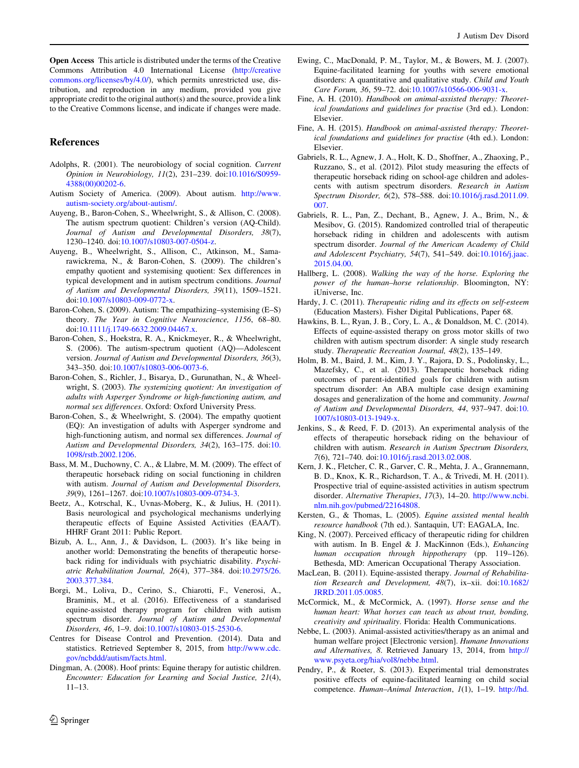<span id="page-7-0"></span>Open Access This article is distributed under the terms of the Creative Commons Attribution 4.0 International License ([http://creative](http://creativecommons.org/licenses/by/4.0/) [commons.org/licenses/by/4.0/\)](http://creativecommons.org/licenses/by/4.0/), which permits unrestricted use, distribution, and reproduction in any medium, provided you give appropriate credit to the original author(s) and the source, provide a link to the Creative Commons license, and indicate if changes were made.

#### References

- Adolphs, R. (2001). The neurobiology of social cognition. Current Opinion in Neurobiology, 11(2), 231–239. doi:[10.1016/S0959-](http://dx.doi.org/10.1016/S0959-4388(00)00202-6) [4388\(00\)00202-6](http://dx.doi.org/10.1016/S0959-4388(00)00202-6).
- Autism Society of America. (2009). About autism. [http://www.](http://www.autism-society.org/about-autism/) [autism-society.org/about-autism/](http://www.autism-society.org/about-autism/).
- Auyeng, B., Baron-Cohen, S., Wheelwright, S., & Allison, C. (2008). The autism spectrum quotient: Children's version (AQ-Child). Journal of Autism and Developmental Disorders, 38(7), 1230–1240. doi[:10.1007/s10803-007-0504-z.](http://dx.doi.org/10.1007/s10803-007-0504-z)
- Auyeng, B., Wheelwright, S., Allison, C., Atkinson, M., Samarawickrema, N., & Baron-Cohen, S. (2009). The children's empathy quotient and systemising quotient: Sex differences in typical development and in autism spectrum conditions. Journal of Autism and Developmental Disorders, 39(11), 1509–1521. doi[:10.1007/s10803-009-0772-x.](http://dx.doi.org/10.1007/s10803-009-0772-x)
- Baron-Cohen, S. (2009). Autism: The empathizing–systemising (E–S) theory. The Year in Cognitive Neuroscience, 1156, 68–80. doi[:10.1111/j.1749-6632.2009.04467.x](http://dx.doi.org/10.1111/j.1749-6632.2009.04467.x).
- Baron-Cohen, S., Hoekstra, R. A., Knickmeyer, R., & Wheelwright, S. (2006). The autism-spectrum quotient (AQ)—Adolescent version. Journal of Autism and Developmental Disorders, 36(3), 343–350. doi:[10.1007/s10803-006-0073-6.](http://dx.doi.org/10.1007/s10803-006-0073-6)
- Baron-Cohen, S., Richler, J., Bisarya, D., Gurunathan, N., & Wheelwright, S. (2003). The systemizing quotient: An investigation of adults with Asperger Syndrome or high-functioning autism, and normal sex differences. Oxford: Oxford University Press.
- Baron-Cohen, S., & Wheelwright, S. (2004). The empathy quotient (EQ): An investigation of adults with Asperger syndrome and high-functioning autism, and normal sex differences. Journal of Autism and Developmental Disorders, 34(2), 163–175. doi:[10.](http://dx.doi.org/10.1098/rstb.2002.1206) [1098/rstb.2002.1206](http://dx.doi.org/10.1098/rstb.2002.1206).
- Bass, M. M., Duchowny, C. A., & Llabre, M. M. (2009). The effect of therapeutic horseback riding on social functioning in children with autism. Journal of Autism and Developmental Disorders, 39(9), 1261–1267. doi:[10.1007/s10803-009-0734-3](http://dx.doi.org/10.1007/s10803-009-0734-3).
- Beetz, A., Kotrschal, K., Uvnas-Moberg, K., & Julius, H. (2011). Basis neurological and psychological mechanisms underlying therapeutic effects of Equine Assisted Activities (EAA/T). HHRF Grant 2011: Public Report.
- Bizub, A. L., Ann, J., & Davidson, L. (2003). It's like being in another world: Demonstrating the benefits of therapeutic horseback riding for individuals with psychiatric disability. Psychiatric Rehabilitation Journal, 26(4), 377–384. doi:[10.2975/26.](http://dx.doi.org/10.2975/26.2003.377.384) [2003.377.384.](http://dx.doi.org/10.2975/26.2003.377.384)
- Borgi, M., Loliva, D., Cerino, S., Chiarotti, F., Venerosi, A., Braminis, M., et al. (2016). Effectiveness of a standarised equine-assisted therapy program for children with autism spectrum disorder. Journal of Autism and Developmental Disorders, 46, 1–9. doi[:10.1007/s10803-015-2530-6.](http://dx.doi.org/10.1007/s10803-015-2530-6)
- Centres for Disease Control and Prevention. (2014). Data and statistics. Retrieved September 8, 2015, from [http://www.cdc.](http://www.cdc.gov/ncbddd/autism/facts.html) [gov/ncbddd/autism/facts.html](http://www.cdc.gov/ncbddd/autism/facts.html).
- Dingman, A. (2008). Hoof prints: Equine therapy for autistic children. Encounter: Education for Learning and Social Justice, 21(4), 11–13.
- Ewing, C., MacDonald, P. M., Taylor, M., & Bowers, M. J. (2007). Equine-facilitated learning for youths with severe emotional disorders: A quantitative and qualitative study. Child and Youth Care Forum, 36, 59–72. doi:[10.1007/s10566-006-9031-x](http://dx.doi.org/10.1007/s10566-006-9031-x).
- Fine, A. H. (2010). Handbook on animal-assisted therapy: Theoretical foundations and guidelines for practise (3rd ed.). London: Elsevier.
- Fine, A. H. (2015). Handbook on animal-assisted therapy: Theoretical foundations and guidelines for practise (4th ed.). London: Elsevier.
- Gabriels, R. L., Agnew, J. A., Holt, K. D., Shoffner, A., Zhaoxing, P., Ruzzano, S., et al. (2012). Pilot study measuring the effects of therapeutic horseback riding on school-age children and adolescents with autism spectrum disorders. Research in Autism Spectrum Disorder, 6(2), 578–588. doi:[10.1016/j.rasd.2011.09.](http://dx.doi.org/10.1016/j.rasd.2011.09.007) [007.](http://dx.doi.org/10.1016/j.rasd.2011.09.007)
- Gabriels, R. L., Pan, Z., Dechant, B., Agnew, J. A., Brim, N., & Mesibov, G. (2015). Randomized controlled trial of therapeutic horseback riding in children and adolescents with autism spectrum disorder. Journal of the American Academy of Child and Adolescent Psychiatry, 54(7), 541–549. doi:[10.1016/j.jaac.](http://dx.doi.org/10.1016/j.jaac.2015.04.00) [2015.04.00](http://dx.doi.org/10.1016/j.jaac.2015.04.00).
- Hallberg, L. (2008). Walking the way of the horse. Exploring the power of the human–horse relationship. Bloomington, NY: iUniverse, Inc.
- Hardy, J. C. (2011). Therapeutic riding and its effects on self-esteem (Education Masters). Fisher Digital Publications, Paper 68.
- Hawkins, B. L., Ryan, J. B., Cory, L. A., & Donaldson, M. C. (2014). Effects of equine-assisted therapy on gross motor skills of two children with autism spectrum disorder: A single study research study. Therapeutic Recreation Journal, 48(2), 135–149.
- Holm, B. M., Baird, J. M., Kim, J. Y., Rajora, D. S., Podolinsky, L., Mazefsky, C., et al. (2013). Therapeutic horseback riding outcomes of parent-identified goals for children with autism spectrum disorder: An ABA multiple case design examining dosages and generalization of the home and community. Journal of Autism and Developmental Disorders, 44, 937–947. doi:[10.](http://dx.doi.org/10.1007/s10803-013-1949-x) [1007/s10803-013-1949-x](http://dx.doi.org/10.1007/s10803-013-1949-x).
- Jenkins, S., & Reed, F. D. (2013). An experimental analysis of the effects of therapeutic horseback riding on the behaviour of children with autism. Research in Autism Spectrum Disorders, 7(6), 721–740. doi[:10.1016/j.rasd.2013.02.008](http://dx.doi.org/10.1016/j.rasd.2013.02.008).
- Kern, J. K., Fletcher, C. R., Garver, C. R., Mehta, J. A., Grannemann, B. D., Knox, K. R., Richardson, T. A., & Trivedi, M. H. (2011). Prospective trial of equine-assisted activities in autism spectrum disorder. Alternative Therapies, 17(3), 14–20. [http://www.ncbi.](http://www.ncbi.nlm.nih.gov/pubmed/22164808) [nlm.nih.gov/pubmed/22164808](http://www.ncbi.nlm.nih.gov/pubmed/22164808).
- Kersten, G., & Thomas, L. (2005). Equine assisted mental health resource handbook (7th ed.). Santaquin, UT: EAGALA, Inc.
- King, N. (2007). Perceived efficacy of therapeutic riding for children with autism. In B. Engel & J. MacKinnon (Eds.), Enhancing human occupation through hippotherapy (pp. 119–126). Bethesda, MD: American Occupational Therapy Association.
- MacLean, B. (2011). Equine-assisted therapy. Journal of Rehabilitation Research and Development, 48(7), ix–xii. doi[:10.1682/](http://dx.doi.org/10.1682/JRRD.2011.05.0085) [JRRD.2011.05.0085](http://dx.doi.org/10.1682/JRRD.2011.05.0085).
- McCormick, M., & McCormick, A. (1997). Horse sense and the human heart: What horses can teach us about trust, bonding, creativity and spirituality. Florida: Health Communications.
- Nebbe, L. (2003). Animal-assisted activities/therapy as an animal and human welfare project [Electronic version]. Humane Innovations and Alternatives, 8. Retrieved January 13, 2014, from [http://](http://www.psyeta.org/hia/vol8/nebbe.html) [www.psyeta.org/hia/vol8/nebbe.html](http://www.psyeta.org/hia/vol8/nebbe.html).
- Pendry, P., & Roeter, S. (2013). Experimental trial demonstrates positive effects of equine-facilitated learning on child social competence. Human-Animal Interaction, 1(1), 1-19. [http://hd.](http://hd.wsu.edu/documents/Publications/HAIB%2520Pendry%2520%26%2520Roeter%25202013.pdf)